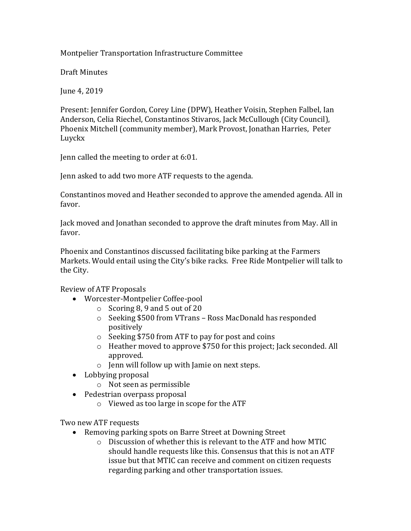## Montpelier Transportation Infrastructure Committee

Draft Minutes

June 4, 2019

Present: Jennifer Gordon, Corey Line (DPW), Heather Voisin, Stephen Falbel, Ian Anderson, Celia Riechel, Constantinos Stivaros, Jack McCullough (City Council), Phoenix Mitchell (community member), Mark Provost, Jonathan Harries, Peter Luyckx

Jenn called the meeting to order at 6:01.

Jenn asked to add two more ATF requests to the agenda.

Constantinos moved and Heather seconded to approve the amended agenda. All in favor.

Jack moved and Jonathan seconded to approve the draft minutes from May. All in favor.

Phoenix and Constantinos discussed facilitating bike parking at the Farmers Markets. Would entail using the City's bike racks. Free Ride Montpelier will talk to the City.

Review of ATF Proposals

- Worcester-Montpelier Coffee-pool
	- o Scoring 8, 9 and 5 out of 20
	- o Seeking \$500 from VTrans Ross MacDonald has responded positively
	- o Seeking \$750 from ATF to pay for post and coins
	- o Heather moved to approve \$750 for this project; Jack seconded. All approved.
	- o Jenn will follow up with Jamie on next steps.
- Lobbying proposal
	- o Not seen as permissible
- Pedestrian overpass proposal
	- o Viewed as too large in scope for the ATF

Two new ATF requests

- Removing parking spots on Barre Street at Downing Street
	- o Discussion of whether this is relevant to the ATF and how MTIC should handle requests like this. Consensus that this is not an ATF issue but that MTIC can receive and comment on citizen requests regarding parking and other transportation issues.